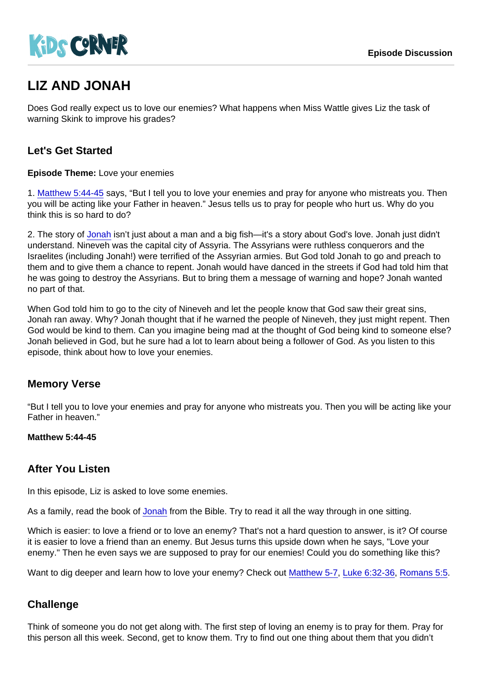# LIZ AND JONAH

Does God really expect us to love our enemies? What happens when Miss Wattle gives Liz the task of warning Skink to improve his grades?

## Let's Get Started

Episode Theme: Love your enemies

1. [Matthew 5:44-45](https://www.biblegateway.com/passage/?search=Matthew+5:44-45) says, "But I tell you to love your enemies and pray for anyone who mistreats you. Then you will be acting like your Father in heaven." Jesus tells us to pray for people who hurt us. Why do you think this is so hard to do?

2. The story of [Jonah](https://www.biblegateway.com/passage/?search=Jonah+1-4) isn't just about a man and a big fish—it's a story about God's love. Jonah just didn't understand. Nineveh was the capital city of Assyria. The Assyrians were ruthless conquerors and the Israelites (including Jonah!) were terrified of the Assyrian armies. But God told Jonah to go and preach to them and to give them a chance to repent. Jonah would have danced in the streets if God had told him that he was going to destroy the Assyrians. But to bring them a message of warning and hope? Jonah wanted no part of that.

When God told him to go to the city of Nineveh and let the people know that God saw their great sins, Jonah ran away. Why? Jonah thought that if he warned the people of Nineveh, they just might repent. Then God would be kind to them. Can you imagine being mad at the thought of God being kind to someone else? Jonah believed in God, but he sure had a lot to learn about being a follower of God. As you listen to this episode, think about how to love your enemies.

#### Memory Verse

"But I tell you to love your enemies and pray for anyone who mistreats you. Then you will be acting like your Father in heaven."

Matthew 5:44-45

#### After You Listen

In this episode, Liz is asked to love some enemies.

As a family, read the book of [Jonah](https://www.biblegateway.com/passage/?search=Jonah+1-4) from the Bible. Try to read it all the way through in one sitting.

Which is easier: to love a friend or to love an enemy? That's not a hard question to answer, is it? Of course it is easier to love a friend than an enemy. But Jesus turns this upside down when he says, "Love your enemy." Then he even says we are supposed to pray for our enemies! Could you do something like this?

Want to dig deeper and learn how to love your enemy? Check out [Matthew 5-7](https://www.biblegateway.com/passage/?search=Matthew+5-7), [Luke 6:32-36,](https://www.biblegateway.com/passage/?search=Luke+6:32-36) [Romans 5:5](https://www.biblegateway.com/passage/?search=Romans+5:5).

#### **Challenge**

Think of someone you do not get along with. The first step of loving an enemy is to pray for them. Pray for this person all this week. Second, get to know them. Try to find out one thing about them that you didn't